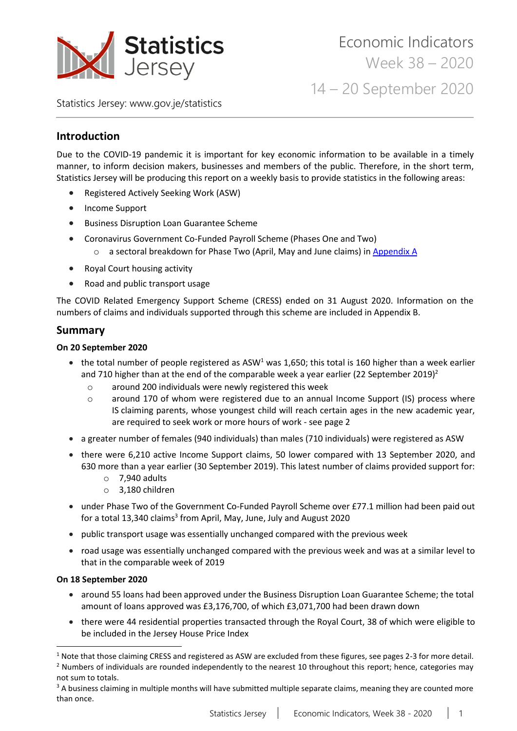

Statistics Jersey: [www.gov.je/statistics](https://www.gov.je/statistics)

# **Introduction**

Due to the COVID-19 pandemic it is important for key economic information to be available in a timely manner, to inform decision makers, businesses and members of the public. Therefore, in the short term, Statistics Jersey will be producing this report on a weekly basis to provide statistics in the following areas:

- Registered Actively Seeking Work (ASW)
- Income Support
- Business Disruption Loan Guarantee Scheme
- Coronavirus Government Co-Funded Payroll Scheme (Phases One and Two)
	- o a sectoral breakdown for Phase Two (April, May and June claims) i[n Appendix A](#page-12-0)
- Royal Court housing activity
- Road and public transport usage

The COVID Related Emergency Support Scheme (CRESS) ended on 31 August 2020. Information on the numbers of claims and individuals supported through this scheme are included in Appendix B.

# **Summary**

### **On 20 September 2020**

- the total number of people registered as ASW<sup>1</sup> was 1,650; this total is 160 higher than a week earlier and 710 higher than at the end of the comparable week a year earlier (22 September 2019)<sup>2</sup>
	- o around 200 individuals were newly registered this week
	- o around 170 of whom were registered due to an annual Income Support (IS) process where IS claiming parents, whose youngest child will reach certain ages in the new academic year, are required to seek work or more hours of work - see page 2
- a greater number of females (940 individuals) than males (710 individuals) were registered as ASW
- there were 6,210 active Income Support claims, 50 lower compared with 13 September 2020, and 630 more than a year earlier (30 September 2019). This latest number of claims provided support for:
	- $\circ$  7,940 adults
	- o 3,180 children
- under Phase Two of the Government Co-Funded Payroll Scheme over £77.1 million had been paid out for a total 13,340 claims<sup>3</sup> from April, May, June, July and August 2020
- public transport usage was essentially unchanged compared with the previous week
- road usage was essentially unchanged compared with the previous week and was at a similar level to that in the comparable week of 2019

## **On 18 September 2020**

- around 55 loans had been approved under the Business Disruption Loan Guarantee Scheme; the total amount of loans approved was £3,176,700, of which £3,071,700 had been drawn down
- there were 44 residential properties transacted through the Royal Court, 38 of which were eligible to be included in the Jersey House Price Index

 $1$  Note that those claiming CRESS and registered as ASW are excluded from these figures, see pages 2-3 for more detail.  $<sup>2</sup>$  Numbers of individuals are rounded independently to the nearest 10 throughout this report; hence, categories may</sup> not sum to totals.

<sup>&</sup>lt;sup>3</sup> A business claiming in multiple months will have submitted multiple separate claims, meaning they are counted more than once.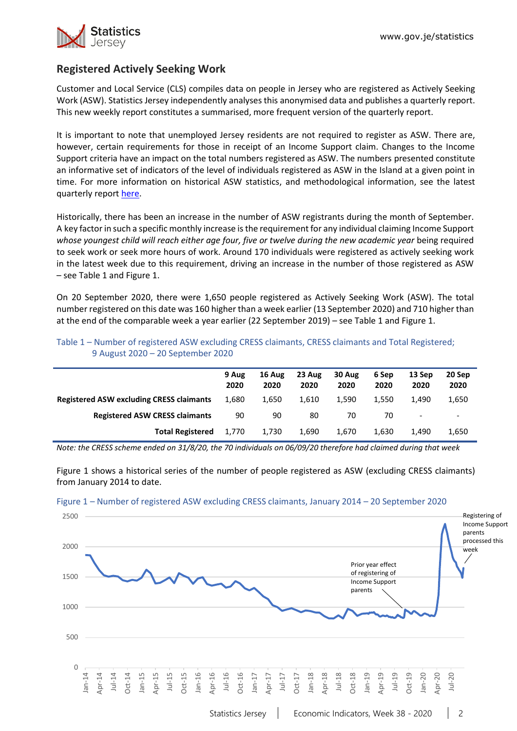

# **Registered Actively Seeking Work**

Customer and Local Service (CLS) compiles data on people in Jersey who are registered as Actively Seeking Work (ASW). Statistics Jersey independently analyses this anonymised data and publishes a quarterly report. This new weekly report constitutes a summarised, more frequent version of the quarterly report.

It is important to note that unemployed Jersey residents are not required to register as ASW. There are, however, certain requirements for those in receipt of an Income Support claim. Changes to the Income Support criteria have an impact on the total numbers registered as ASW. The numbers presented constitute an informative set of indicators of the level of individuals registered as ASW in the Island at a given point in time. For more information on historical ASW statistics, and methodological information, see the latest quarterly repor[t here.](https://www.gov.je/Government/JerseyInFigures/EmploymentEarnings/Pages/RegisteredUnemployment.aspx)

Historically, there has been an increase in the number of ASW registrants during the month of September. A key factor in such a specific monthly increase isthe requirement for any individual claiming Income Support *whose youngest child will reach either age four, five or twelve during the new academic year* being required to seek work or seek more hours of work. Around 170 individuals were registered as actively seeking work in the latest week due to this requirement, driving an increase in the number of those registered as ASW – see Table 1 and Figure 1.

On 20 September 2020, there were 1,650 people registered as Actively Seeking Work (ASW). The total number registered on this date was 160 higher than a week earlier (13 September 2020) and 710 higher than at the end of the comparable week a year earlier (22 September 2019) – see Table 1 and Figure 1.

|                                                 | 9 Aug<br>2020 | 16 Aug<br>2020 | 23 Aug<br>2020 | 30 Aug<br>2020 | 6 Sep<br>2020 | 13 Sep<br>2020           | 20 Sep<br>2020           |
|-------------------------------------------------|---------------|----------------|----------------|----------------|---------------|--------------------------|--------------------------|
| <b>Registered ASW excluding CRESS claimants</b> | 1.680         | 1.650          | 1.610          | 1.590          | 1.550         | 1.490                    | 1,650                    |
| <b>Registered ASW CRESS claimants</b>           | 90            | 90             | 80             | 70             | 70            | $\overline{\phantom{a}}$ | $\overline{\phantom{a}}$ |
| <b>Total Registered</b>                         | 1.770         | 1.730          | 1.690          | 1.670          | 1.630         | 1.490                    | 1,650                    |

### Table 1 – Number of registered ASW excluding CRESS claimants, CRESS claimants and Total Registered; 9 August 2020 – 20 September 2020

*Note: the CRESS scheme ended on 31/8/20, the 70 individuals on 06/09/20 therefore had claimed during that week*

Figure 1 shows a historical series of the number of people registered as ASW (excluding CRESS claimants) from January 2014 to date.



#### Figure 1 – Number of registered ASW excluding CRESS claimants, January 2014 – 20 September 2020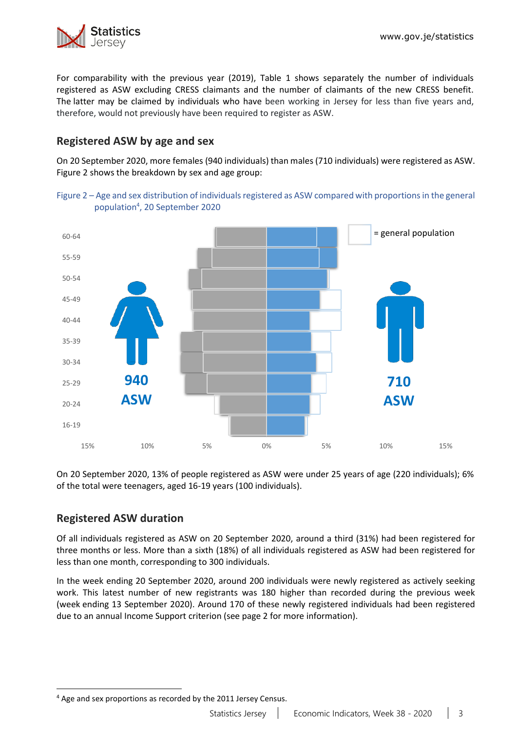

For comparability with the previous year (2019), Table 1 shows separately the number of individuals registered as ASW excluding CRESS claimants and the number of claimants of the new CRESS benefit. The latter may be claimed by individuals who have been working in Jersey for less than five years and, therefore, would not previously have been required to register as ASW.

# **Registered ASW by age and sex**

On 20 September 2020, more females (940 individuals) than males (710 individuals) were registered as ASW. Figure 2 shows the breakdown by sex and age group:





On 20 September 2020, 13% of people registered as ASW were under 25 years of age (220 individuals); 6% of the total were teenagers, aged 16-19 years (100 individuals).

# **Registered ASW duration**

Of all individuals registered as ASW on 20 September 2020, around a third (31%) had been registered for three months or less. More than a sixth (18%) of all individuals registered as ASW had been registered for less than one month, corresponding to 300 individuals.

In the week ending 20 September 2020, around 200 individuals were newly registered as actively seeking work. This latest number of new registrants was 180 higher than recorded during the previous week (week ending 13 September 2020). Around 170 of these newly registered individuals had been registered due to an annual Income Support criterion (see page 2 for more information).

<sup>4</sup> Age and sex proportions as recorded by the 2011 Jersey Census.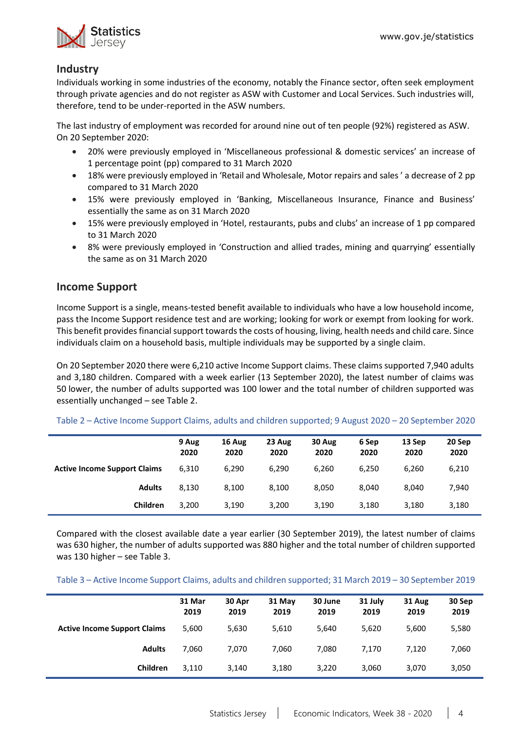

# **Industry**

Individuals working in some industries of the economy, notably the Finance sector, often seek employment through private agencies and do not register as ASW with Customer and Local Services. Such industries will, therefore, tend to be under-reported in the ASW numbers.

The last industry of employment was recorded for around nine out of ten people (92%) registered as ASW. On 20 September 2020:

- 20% were previously employed in 'Miscellaneous professional & domestic services' an increase of 1 percentage point (pp) compared to 31 March 2020
- 18% were previously employed in 'Retail and Wholesale, Motor repairs and sales ' a decrease of 2 pp compared to 31 March 2020
- 15% were previously employed in 'Banking, Miscellaneous Insurance, Finance and Business' essentially the same as on 31 March 2020
- 15% were previously employed in 'Hotel, restaurants, pubs and clubs' an increase of 1 pp compared to 31 March 2020
- 8% were previously employed in 'Construction and allied trades, mining and quarrying' essentially the same as on 31 March 2020

# **Income Support**

Income Support is a single, means-tested benefit available to individuals who have a low household income, pass the Income Support residence test and are working; looking for work or exempt from looking for work. This benefit provides financial support towards the costs of housing, living, health needs and child care. Since individuals claim on a household basis, multiple individuals may be supported by a single claim.

On 20 September 2020 there were 6,210 active Income Support claims. These claims supported 7,940 adults and 3,180 children. Compared with a week earlier (13 September 2020), the latest number of claims was 50 lower, the number of adults supported was 100 lower and the total number of children supported was essentially unchanged – see Table 2.

|                                     | 9 Aug<br>2020 | 16 Aug<br>2020 | 23 Aug<br>2020 | 30 Aug<br>2020 | 6 Sep<br>2020 | 13 Sep<br>2020 | 20 Sep<br>2020 |
|-------------------------------------|---------------|----------------|----------------|----------------|---------------|----------------|----------------|
| <b>Active Income Support Claims</b> | 6,310         | 6,290          | 6,290          | 6.260          | 6,250         | 6.260          | 6,210          |
| <b>Adults</b>                       | 8,130         | 8,100          | 8.100          | 8.050          | 8.040         | 8.040          | 7,940          |
| Children                            | 3,200         | 3,190          | 3,200          | 3,190          | 3,180         | 3,180          | 3,180          |

Table 2 – Active Income Support Claims, adults and children supported; 9 August 2020 – 20 September 2020

Compared with the closest available date a year earlier (30 September 2019), the latest number of claims was 630 higher, the number of adults supported was 880 higher and the total number of children supported was 130 higher – see Table 3.

Table 3 – Active Income Support Claims, adults and children supported; 31 March 2019 – 30 September 2019

|                                     | 31 Mar<br>2019 | 30 Apr<br>2019 | 31 May<br>2019 | 30 June<br>2019 | 31 July<br>2019 | 31 Aug<br>2019 | 30 Sep<br>2019 |
|-------------------------------------|----------------|----------------|----------------|-----------------|-----------------|----------------|----------------|
| <b>Active Income Support Claims</b> | 5,600          | 5,630          | 5,610          | 5,640           | 5,620           | 5,600          | 5,580          |
| <b>Adults</b>                       | 7,060          | 7,070          | 7,060          | 7,080           | 7,170           | 7,120          | 7,060          |
| Children                            | 3,110          | 3,140          | 3,180          | 3,220           | 3,060           | 3,070          | 3,050          |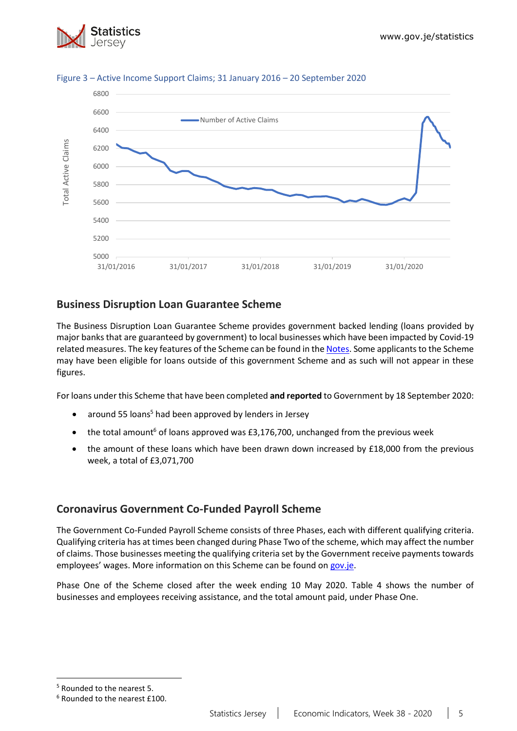



### Figure 3 – Active Income Support Claims; 31 January 2016 – 20 September 2020

# **Business Disruption Loan Guarantee Scheme**

The Business Disruption Loan Guarantee Scheme provides government backed lending (loans provided by major banks that are guaranteed by government) to local businesses which have been impacted by Covid-19 related measures. The key features of the Scheme can be found in the [Notes.](#page-11-0) Some applicants to the Scheme may have been eligible for loans outside of this government Scheme and as such will not appear in these figures.

For loans under this Scheme that have been completed **and reported** to Government by 18 September 2020:

- around 55 loans<sup>5</sup> had been approved by lenders in Jersey
- the total amount<sup>6</sup> of loans approved was £3,176,700, unchanged from the previous week
- the amount of these loans which have been drawn down increased by £18,000 from the previous week, a total of £3,071,700

# **Coronavirus Government Co-Funded Payroll Scheme**

The Government Co-Funded Payroll Scheme consists of three Phases, each with different qualifying criteria. Qualifying criteria has at times been changed during Phase Two of the scheme, which may affect the number of claims. Those businesses meeting the qualifying criteria set by the Government receive payments towards employees' wages. More information on this Scheme can be found o[n gov.je.](https://www.gov.je/health/coronavirus/businessandemployment/pages/governmentsupportforbusinesses.aspx)

Phase One of the Scheme closed after the week ending 10 May 2020. Table 4 shows the number of businesses and employees receiving assistance, and the total amount paid, under Phase One.

<sup>5</sup> Rounded to the nearest 5.

<sup>6</sup> Rounded to the nearest £100.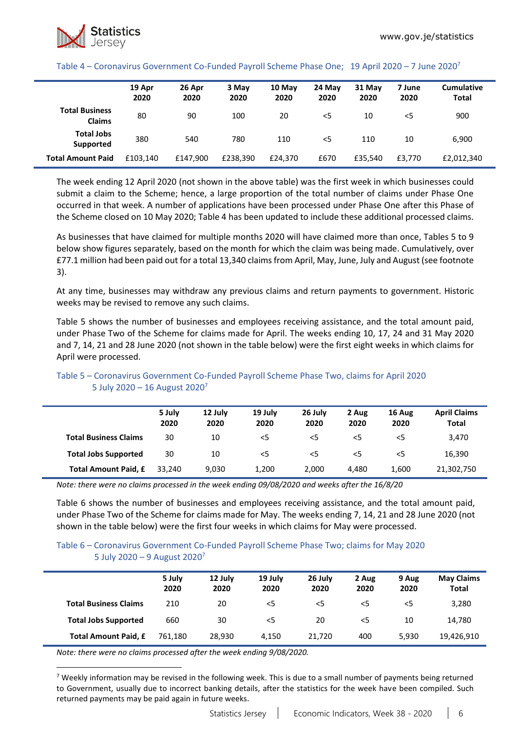#### Table 4 – Coronavirus Government Co-Funded Payroll Scheme Phase One; 19 April 2020 – 7 June 2020<sup>7</sup>

|                                        | 19 Apr<br>2020 | 26 Apr<br>2020 | 3 May<br>2020 | 10 May<br>2020 | 24 May<br>2020 | 31 May<br>2020 | 7 June<br>2020 | <b>Cumulative</b><br><b>Total</b> |
|----------------------------------------|----------------|----------------|---------------|----------------|----------------|----------------|----------------|-----------------------------------|
| <b>Total Business</b><br><b>Claims</b> | 80             | 90             | 100           | 20             | <5             | 10             | $<$ 5          | 900                               |
| <b>Total Jobs</b><br>Supported         | 380            | 540            | 780           | 110            | $<$ 5          | 110            | 10             | 6,900                             |
| <b>Total Amount Paid</b>               | £103.140       | £147,900       | £238.390      | £24.370        | £670           | £35.540        | £3.770         | £2,012,340                        |

The week ending 12 April 2020 (not shown in the above table) was the first week in which businesses could submit a claim to the Scheme; hence, a large proportion of the total number of claims under Phase One occurred in that week. A number of applications have been processed under Phase One after this Phase of the Scheme closed on 10 May 2020; Table 4 has been updated to include these additional processed claims.

As businesses that have claimed for multiple months 2020 will have claimed more than once, Tables 5 to 9 below show figures separately, based on the month for which the claim was being made. Cumulatively, over £77.1 million had been paid out for a total 13,340 claimsfrom April, May, June, July and August (see footnote 3).

At any time, businesses may withdraw any previous claims and return payments to government. Historic weeks may be revised to remove any such claims.

Table 5 shows the number of businesses and employees receiving assistance, and the total amount paid, under Phase Two of the Scheme for claims made for April. The weeks ending 10, 17, 24 and 31 May 2020 and 7, 14, 21 and 28 June 2020 (not shown in the table below) were the first eight weeks in which claims for April were processed.

|                              | 5 July<br>2020 | 12 July<br>2020 | 19 July<br>2020 | 26 July<br>2020 | 2 Aug<br>2020 | 16 Aug<br>2020 | <b>April Claims</b><br><b>Total</b> |
|------------------------------|----------------|-----------------|-----------------|-----------------|---------------|----------------|-------------------------------------|
| <b>Total Business Claims</b> | 30             | 10              | $<$ 5           | $<$ 5           | $<$ 5         | <5             | 3,470                               |
| <b>Total Jobs Supported</b>  | 30             | 10              | $<$ 5           | $<$ 5           | $<$ 5         | <5             | 16,390                              |
| Total Amount Paid, £         | 33.240         | 9,030           | 1,200           | 2,000           | 4.480         | 1,600          | 21,302,750                          |

### Table 5 – Coronavirus Government Co-Funded Payroll Scheme Phase Two, claims for April 2020 5 July 2020 – 16 August 2020<sup>7</sup>

*Note: there were no claims processed in the week ending 09/08/2020 and weeks after the 16/8/20*

Table 6 shows the number of businesses and employees receiving assistance, and the total amount paid, under Phase Two of the Scheme for claims made for May. The weeks ending 7, 14, 21 and 28 June 2020 (not shown in the table below) were the first four weeks in which claims for May were processed.

#### Table 6 – Coronavirus Government Co-Funded Payroll Scheme Phase Two; claims for May 2020 5 July 2020 – 9 August 2020<sup>7</sup>

|                              | 5 July<br>2020 | 12 July<br>2020 | 19 July<br>2020 | 26 July<br>2020 | 2 Aug<br>2020 | 9 Aug<br>2020 | <b>May Claims</b><br><b>Total</b> |
|------------------------------|----------------|-----------------|-----------------|-----------------|---------------|---------------|-----------------------------------|
| <b>Total Business Claims</b> | 210            | 20              | $<$ 5           | $<$ 5           | <5            | $<$ 5         | 3,280                             |
| <b>Total Jobs Supported</b>  | 660            | 30              | $<$ 5           | 20              | <5            | 10            | 14,780                            |
| <b>Total Amount Paid, £</b>  | 761.180        | 28.930          | 4.150           | 21.720          | 400           | 5.930         | 19,426,910                        |

*Note: there were no claims processed after the week ending 9/08/2020.*

<sup>7</sup> Weekly information may be revised in the following week. This is due to a small number of payments being returned to Government, usually due to incorrect banking details, after the statistics for the week have been compiled. Such returned payments may be paid again in future weeks.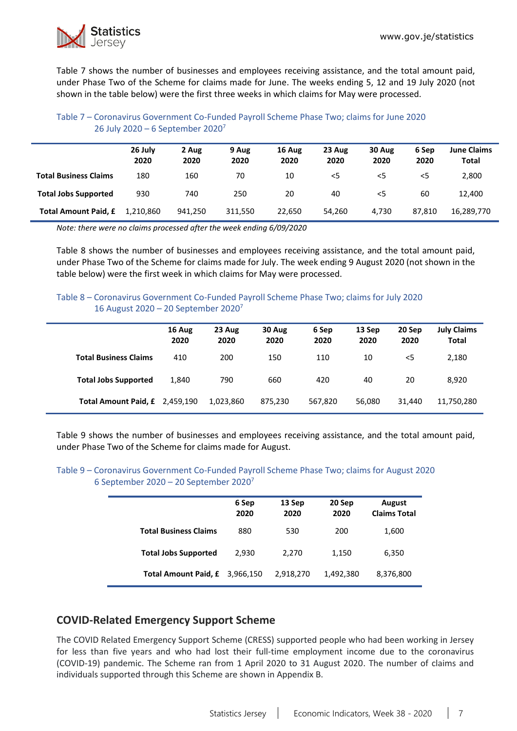

Table 7 shows the number of businesses and employees receiving assistance, and the total amount paid, under Phase Two of the Scheme for claims made for June. The weeks ending 5, 12 and 19 July 2020 (not shown in the table below) were the first three weeks in which claims for May were processed.

### Table 7 – Coronavirus Government Co-Funded Payroll Scheme Phase Two; claims for June 2020 26 July 2020 – 6 September 2020<sup>7</sup>

|                              | 26 July<br>2020 | 2 Aug<br>2020 | 9 Aug<br>2020 | 16 Aug<br>2020 | 23 Aug<br>2020 | 30 Aug<br>2020 | 6 Sep<br>2020 | <b>June Claims</b><br>Total |
|------------------------------|-----------------|---------------|---------------|----------------|----------------|----------------|---------------|-----------------------------|
| <b>Total Business Claims</b> | 180             | 160           | 70            | 10             | $<$ 5          | $<$ 5          | $<$ 5         | 2,800                       |
| <b>Total Jobs Supported</b>  | 930             | 740           | 250           | 20             | 40             | $<$ 5          | 60            | 12.400                      |
| Total Amount Paid, £         | 1.210.860       | 941.250       | 311.550       | 22.650         | 54.260         | 4.730          | 87.810        | 16,289,770                  |

*Note: there were no claims processed after the week ending 6/09/2020*

Table 8 shows the number of businesses and employees receiving assistance, and the total amount paid, under Phase Two of the Scheme for claims made for July. The week ending 9 August 2020 (not shown in the table below) were the first week in which claims for May were processed.

### Table 8 – Coronavirus Government Co-Funded Payroll Scheme Phase Two; claims for July 2020 16 August 2020 – 20 September 2020<sup>7</sup>

|                                | 16 Aug<br>2020 | 23 Aug<br>2020 | 30 Aug<br>2020 | 6 Sep<br>2020 | 13 Sep<br>2020 | 20 Sep<br>2020 | <b>July Claims</b><br><b>Total</b> |
|--------------------------------|----------------|----------------|----------------|---------------|----------------|----------------|------------------------------------|
| <b>Total Business Claims</b>   | 410            | 200            | 150            | 110           | 10             | $<$ 5          | 2,180                              |
| <b>Total Jobs Supported</b>    | 1,840          | 790            | 660            | 420           | 40             | 20             | 8.920                              |
| Total Amount Paid, £ 2,459,190 |                | 1,023,860      | 875,230        | 567,820       | 56,080         | 31,440         | 11,750,280                         |

Table 9 shows the number of businesses and employees receiving assistance, and the total amount paid, under Phase Two of the Scheme for claims made for August.

#### Table 9 – Coronavirus Government Co-Funded Payroll Scheme Phase Two; claims for August 2020 6 September 2020 – 20 September 2020<sup>7</sup>

|                              | 6 Sep<br>2020 | 13 Sep<br>2020 | 20 Sep<br>2020 | August<br><b>Claims Total</b> |
|------------------------------|---------------|----------------|----------------|-------------------------------|
| <b>Total Business Claims</b> | 880           | 530            | 200            | 1,600                         |
| <b>Total Jobs Supported</b>  | 2,930         | 2,270          | 1,150          | 6,350                         |
| <b>Total Amount Paid, £</b>  | 3,966,150     | 2,918,270      | 1,492,380      | 8,376,800                     |

# **COVID-Related Emergency Support Scheme**

The COVID Related Emergency Support Scheme (CRESS) supported people who had been working in Jersey for less than five years and who had lost their full-time employment income due to the coronavirus (COVID-19) pandemic. The Scheme ran from 1 April 2020 to 31 August 2020. The number of claims and individuals supported through this Scheme are shown in Appendix B.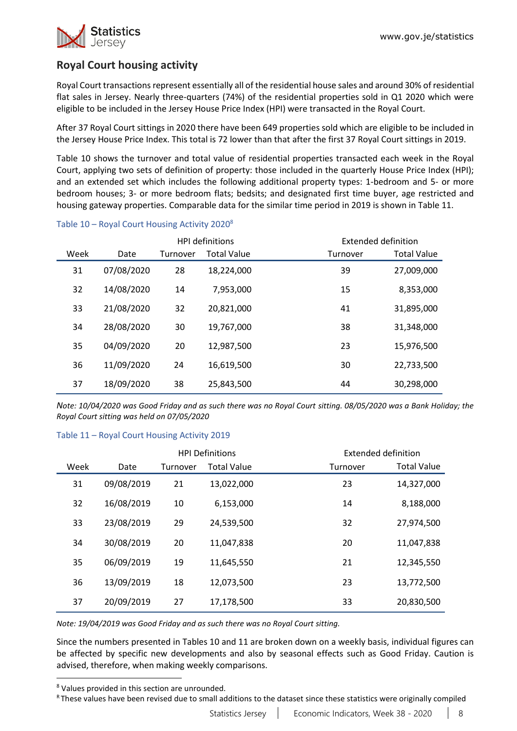

# **Royal Court housing activity**

Royal Court transactions represent essentially all of the residential house sales and around 30% of residential flat sales in Jersey. Nearly three-quarters (74%) of the residential properties sold in Q1 2020 which were eligible to be included in the Jersey House Price Index (HPI) were transacted in the Royal Court.

After 37 Royal Court sittings in 2020 there have been 649 properties sold which are eligible to be included in the Jersey House Price Index. This total is 72 lower than that after the first 37 Royal Court sittings in 2019.

Table 10 shows the turnover and total value of residential properties transacted each week in the Royal Court, applying two sets of definition of property: those included in the quarterly House Price Index (HPI); and an extended set which includes the following additional property types: 1-bedroom and 5- or more bedroom houses; 3- or more bedroom flats; bedsits; and designated first time buyer, age restricted and housing gateway properties. Comparable data for the similar time period in 2019 is shown in Table 11.

|      |            |          | <b>HPI definitions</b> |          | Extended definition |
|------|------------|----------|------------------------|----------|---------------------|
| Week | Date       | Turnover | <b>Total Value</b>     | Turnover | <b>Total Value</b>  |
| 31   | 07/08/2020 | 28       | 18,224,000             | 39       | 27,009,000          |
| 32   | 14/08/2020 | 14       | 7,953,000              | 15       | 8,353,000           |
| 33   | 21/08/2020 | 32       | 20,821,000             | 41       | 31,895,000          |
| 34   | 28/08/2020 | 30       | 19,767,000             | 38       | 31,348,000          |
| 35   | 04/09/2020 | 20       | 12,987,500             | 23       | 15,976,500          |
| 36   | 11/09/2020 | 24       | 16,619,500             | 30       | 22,733,500          |
| 37   | 18/09/2020 | 38       | 25,843,500             | 44       | 30,298,000          |

### Table 10 – Royal Court Housing Activity 2020<sup>8</sup>

*Note: 10/04/2020 was Good Friday and as such there was no Royal Court sitting. 08/05/2020 was a Bank Holiday; the Royal Court sitting was held on 07/05/2020*

#### Table 11 – Royal Court Housing Activity 2019

|      |            |          | <b>HPI Definitions</b> |          | Extended definition |
|------|------------|----------|------------------------|----------|---------------------|
| Week | Date       | Turnover | <b>Total Value</b>     | Turnover | <b>Total Value</b>  |
| 31   | 09/08/2019 | 21       | 13,022,000             | 23       | 14,327,000          |
| 32   | 16/08/2019 | 10       | 6,153,000              | 14       | 8,188,000           |
| 33   | 23/08/2019 | 29       | 24,539,500             | 32       | 27,974,500          |
| 34   | 30/08/2019 | 20       | 11,047,838             | 20       | 11,047,838          |
| 35   | 06/09/2019 | 19       | 11,645,550             | 21       | 12,345,550          |
| 36   | 13/09/2019 | 18       | 12,073,500             | 23       | 13,772,500          |
| 37   | 20/09/2019 | 27       | 17,178,500             | 33       | 20,830,500          |

*Note: 19/04/2019 was Good Friday and as such there was no Royal Court sitting.*

Since the numbers presented in Tables 10 and 11 are broken down on a weekly basis, individual figures can be affected by specific new developments and also by seasonal effects such as Good Friday. Caution is advised, therefore, when making weekly comparisons.

R These values have been revised due to small additions to the dataset since these statistics were originally compiled

<sup>8</sup> Values provided in this section are unrounded.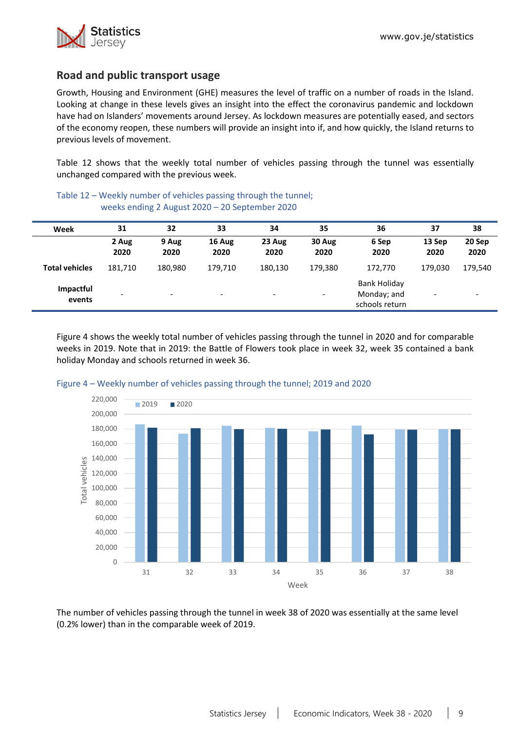

# **Road and public transport usage**

Growth, Housing and Environment (GHE) measures the level of traffic on a number of roads in the Island. Looking at change in these levels gives an insight into the effect the coronavirus pandemic and lockdown have had on Islanders' movements around Jersey. As lockdown measures are potentially eased, and sectors of the economy reopen, these numbers will provide an insight into if, and how quickly, the Island returns to previous levels of movement.

Table 12 shows that the weekly total number of vehicles passing through the tunnel was essentially unchanged compared with the previous week.

| Week                  | 31                       | 32                       | 33                       | 34                       | 35             | 36                                                   | 37                       | 38                       |
|-----------------------|--------------------------|--------------------------|--------------------------|--------------------------|----------------|------------------------------------------------------|--------------------------|--------------------------|
|                       | 2 Aug<br>2020            | 9 Aug<br>2020            | 16 Aug<br>2020           | 23 Aug<br>2020           | 30 Aug<br>2020 | 6 Sep<br>2020                                        | 13 Sep<br>2020           | 20 Sep<br>2020           |
| <b>Total vehicles</b> | 181,710                  | 180,980                  | 179,710                  | 180.130                  | 179,380        | 172.770                                              | 179.030                  | 179,540                  |
| Impactful<br>events   | $\overline{\phantom{a}}$ | $\overline{\phantom{0}}$ | $\overline{\phantom{0}}$ | $\overline{\phantom{a}}$ | -              | <b>Bank Holiday</b><br>Monday; and<br>schools return | $\overline{\phantom{a}}$ | $\overline{\phantom{a}}$ |

Table 12 – Weekly number of vehicles passing through the tunnel; weeks ending 2 August 2020 – 20 September 2020

Figure 4 shows the weekly total number of vehicles passing through the tunnel in 2020 and for comparable weeks in 2019. Note that in 2019: the Battle of Flowers took place in week 32, week 35 contained a bank holiday Monday and schools returned in week 36.





The number of vehicles passing through the tunnel in week 38 of 2020 was essentially at the same level (0.2% lower) than in the comparable week of 2019.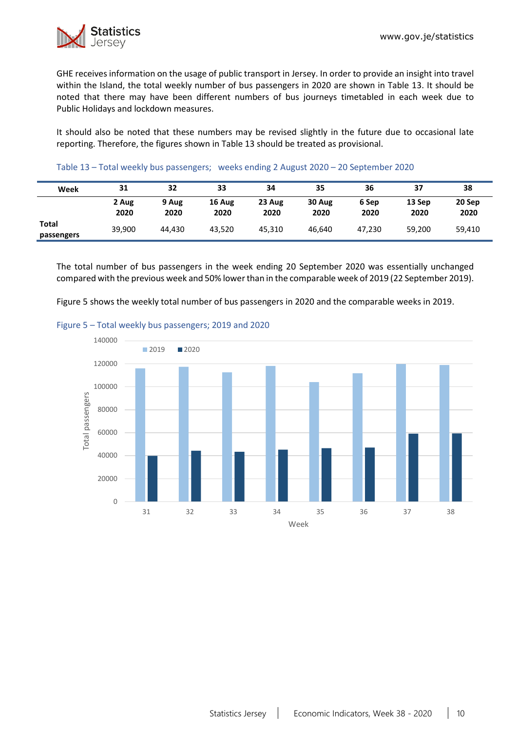

GHE receives information on the usage of public transport in Jersey. In order to provide an insight into travel within the Island, the total weekly number of bus passengers in 2020 are shown in Table 13. It should be noted that there may have been different numbers of bus journeys timetabled in each week due to Public Holidays and lockdown measures.

It should also be noted that these numbers may be revised slightly in the future due to occasional late reporting. Therefore, the figures shown in Table 13 should be treated as provisional.

| Table 13 - Total weekly bus passengers; weeks ending 2 August 2020 - 20 September 2020 |
|----------------------------------------------------------------------------------------|
|                                                                                        |

| Week                | 31            | 32            | 33             | 34             | 35             | 36            | 37             | 38             |
|---------------------|---------------|---------------|----------------|----------------|----------------|---------------|----------------|----------------|
|                     | 2 Aug<br>2020 | 9 Aug<br>2020 | 16 Aug<br>2020 | 23 Aug<br>2020 | 30 Aug<br>2020 | 6 Sep<br>2020 | 13 Sep<br>2020 | 20 Sep<br>2020 |
| Total<br>passengers | 39,900        | 44.430        | 43.520         | 45.310         | 46.640         | 47.230        | 59,200         | 59,410         |

The total number of bus passengers in the week ending 20 September 2020 was essentially unchanged compared with the previous week and 50% lower than in the comparable week of 2019 (22 September 2019).

Figure 5 shows the weekly total number of bus passengers in 2020 and the comparable weeks in 2019.



#### Figure 5 – Total weekly bus passengers; 2019 and 2020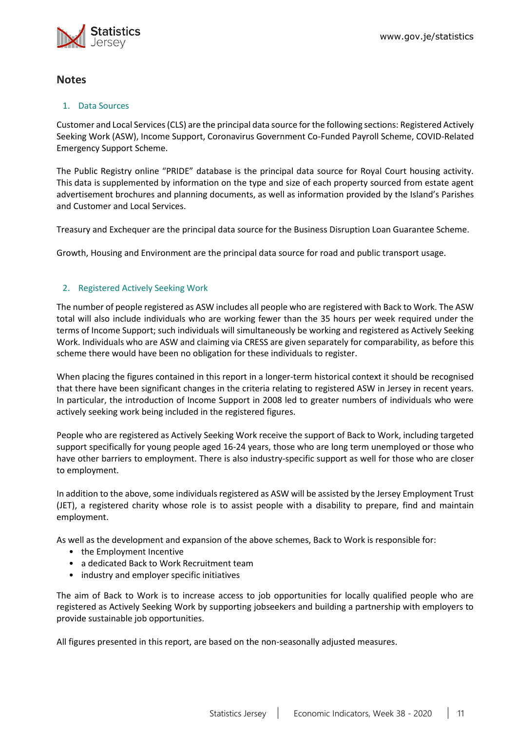

## **Notes**

#### 1. Data Sources

Customer and Local Services (CLS) are the principal data source for the following sections: Registered Actively Seeking Work (ASW), Income Support, Coronavirus Government Co-Funded Payroll Scheme, COVID-Related Emergency Support Scheme.

The Public Registry online "PRIDE" database is the principal data source for Royal Court housing activity. This data is supplemented by information on the type and size of each property sourced from estate agent advertisement brochures and planning documents, as well as information provided by the Island's Parishes and Customer and Local Services.

Treasury and Exchequer are the principal data source for the Business Disruption Loan Guarantee Scheme.

Growth, Housing and Environment are the principal data source for road and public transport usage.

## 2. Registered Actively Seeking Work

The number of people registered as ASW includes all people who are registered with Back to Work. The ASW total will also include individuals who are working fewer than the 35 hours per week required under the terms of Income Support; such individuals will simultaneously be working and registered as Actively Seeking Work. Individuals who are ASW and claiming via CRESS are given separately for comparability, as before this scheme there would have been no obligation for these individuals to register.

When placing the figures contained in this report in a longer-term historical context it should be recognised that there have been significant changes in the criteria relating to registered ASW in Jersey in recent years. In particular, the introduction of Income Support in 2008 led to greater numbers of individuals who were actively seeking work being included in the registered figures.

People who are registered as Actively Seeking Work receive the support of Back to Work, including targeted support specifically for young people aged 16-24 years, those who are long term unemployed or those who have other barriers to employment. There is also industry-specific support as well for those who are closer to employment.

In addition to the above, some individuals registered as ASW will be assisted by the Jersey Employment Trust (JET), a registered charity whose role is to assist people with a disability to prepare, find and maintain employment.

As well as the development and expansion of the above schemes, Back to Work is responsible for:

- the Employment Incentive
- a dedicated Back to Work Recruitment team
- industry and employer specific initiatives

The aim of Back to Work is to increase access to job opportunities for locally qualified people who are registered as Actively Seeking Work by supporting jobseekers and building a partnership with employers to provide sustainable job opportunities.

All figures presented in this report, are based on the non-seasonally adjusted measures.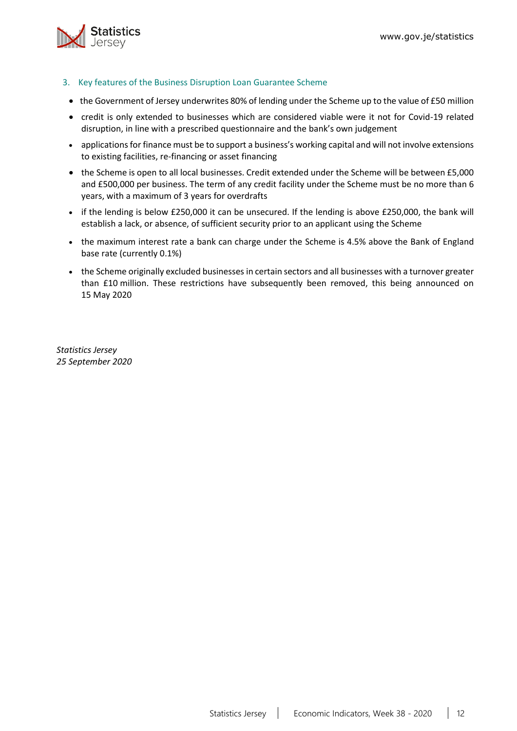

- <span id="page-11-0"></span>3. Key features of the Business Disruption Loan Guarantee Scheme
- the Government of Jersey underwrites 80% of lending under the Scheme up to the value of £50 million
- credit is only extended to businesses which are considered viable were it not for Covid-19 related disruption, in line with a prescribed questionnaire and the bank's own judgement
- applications for finance must be to support a business's working capital and will not involve extensions to existing facilities, re-financing or asset financing
- the Scheme is open to all local businesses. Credit extended under the Scheme will be between £5,000 and £500,000 per business. The term of any credit facility under the Scheme must be no more than 6 years, with a maximum of 3 years for overdrafts
- if the lending is below £250,000 it can be unsecured. If the lending is above £250,000, the bank will establish a lack, or absence, of sufficient security prior to an applicant using the Scheme
- the maximum interest rate a bank can charge under the Scheme is 4.5% above the Bank of England base rate (currently 0.1%)
- the Scheme originally excluded businesses in certain sectors and all businesses with a turnover greater than £10 million. These restrictions have subsequently been removed, this being announced on 15 May 2020

*Statistics Jersey 25 September 2020*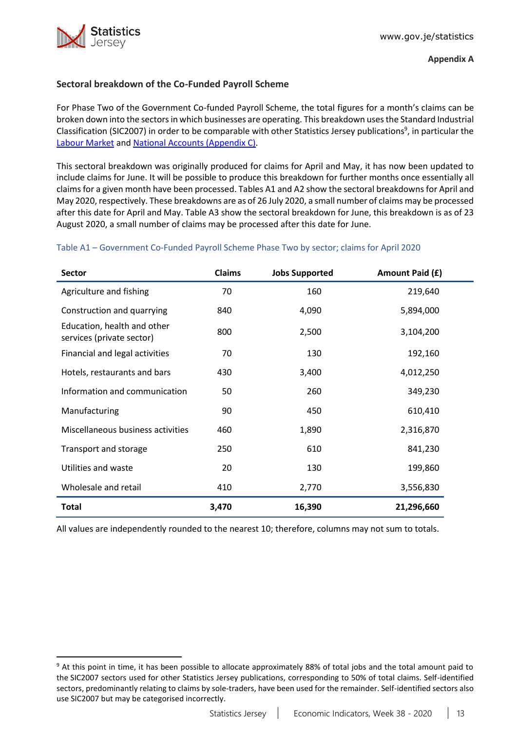

## <span id="page-12-0"></span>**Sectoral breakdown of the Co-Funded Payroll Scheme**

For Phase Two of the Government Co-funded Payroll Scheme, the total figures for a month's claims can be broken down into the sectorsin which businesses are operating. This breakdown usesthe Standard Industrial Classification (SIC2007) in order to be comparable with other Statistics Jersey publications<sup>9</sup>, in particular the [Labour Market](https://www.gov.je/Government/JerseyInFigures/EmploymentEarnings/Pages/LabourMarket.aspx) and [National Accounts \(Appendix C\).](https://www.gov.je/SiteCollectionDocuments/Government%20and%20administration/R%20GVA%20and%20GDP%202018%2020191002%20SJ.pdf)

This sectoral breakdown was originally produced for claims for April and May, it has now been updated to include claims for June. It will be possible to produce this breakdown for further months once essentially all claims for a given month have been processed. Tables A1 and A2 show the sectoral breakdowns for April and May 2020, respectively. These breakdowns are as of 26 July 2020, a small number of claims may be processed after this date for April and May. Table A3 show the sectoral breakdown for June, this breakdown is as of 23 August 2020, a small number of claims may be processed after this date for June.

## Table A1 – Government Co-Funded Payroll Scheme Phase Two by sector; claims for April 2020

| Sector                                                   | <b>Claims</b> | <b>Jobs Supported</b> | Amount Paid (£) |
|----------------------------------------------------------|---------------|-----------------------|-----------------|
| Agriculture and fishing                                  | 70            | 160                   | 219,640         |
| Construction and quarrying                               | 840           | 4,090                 | 5,894,000       |
| Education, health and other<br>services (private sector) | 800           | 2,500                 | 3,104,200       |
| Financial and legal activities                           | 70            | 130                   | 192,160         |
| Hotels, restaurants and bars                             | 430           | 3,400                 | 4,012,250       |
| Information and communication                            | 50            | 260                   | 349,230         |
| Manufacturing                                            | 90            | 450                   | 610,410         |
| Miscellaneous business activities                        | 460           | 1,890                 | 2,316,870       |
| Transport and storage                                    | 250           | 610                   | 841,230         |
| Utilities and waste                                      | 20            | 130                   | 199,860         |
| Wholesale and retail                                     | 410           | 2,770                 | 3,556,830       |
| <b>Total</b>                                             | 3,470         | 16,390                | 21,296,660      |

All values are independently rounded to the nearest 10; therefore, columns may not sum to totals.

<sup>&</sup>lt;sup>9</sup> At this point in time, it has been possible to allocate approximately 88% of total jobs and the total amount paid to the SIC2007 sectors used for other Statistics Jersey publications, corresponding to 50% of total claims. Self-identified sectors, predominantly relating to claims by sole-traders, have been used for the remainder. Self-identified sectors also use SIC2007 but may be categorised incorrectly.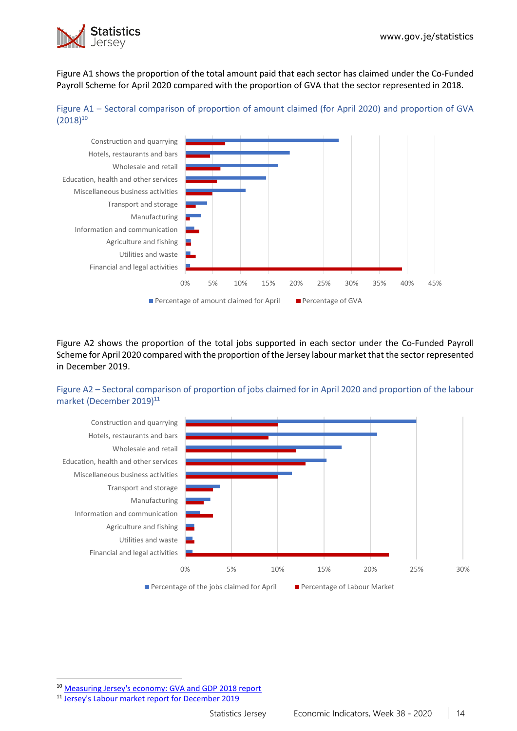

Figure A1 shows the proportion of the total amount paid that each sector has claimed under the Co-Funded Payroll Scheme for April 2020 compared with the proportion of GVA that the sector represented in 2018.





Figure A2 shows the proportion of the total jobs supported in each sector under the Co-Funded Payroll Scheme for April 2020 compared with the proportion of the Jersey labour market that the sector represented in December 2019.

## Figure A2 – Sectoral comparison of proportion of jobs claimed for in April 2020 and proportion of the labour market (December 2019)<sup>11</sup>



<sup>10</sup> [Measuring Jersey's economy: GVA and GDP 2018 report](https://www.gov.je/SiteCollectionDocuments/Government%20and%20administration/R%20GVA%20and%20GDP%202018%2020191002%20SJ.pdf)

<sup>11</sup> [Jersey's Labour market report for December 2019](https://www.gov.je/SiteCollectionDocuments/Government%20and%20administration/R%20Jersey%20Labour%20Market%20Dec%2019%2020200528%20SJ.pdf)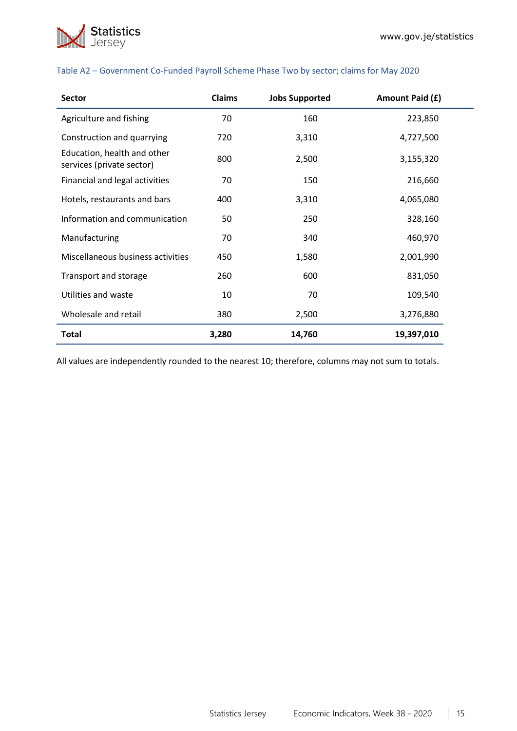

| <b>Sector</b>                                            | Claims | <b>Jobs Supported</b> | Amount Paid (£) |
|----------------------------------------------------------|--------|-----------------------|-----------------|
| Agriculture and fishing                                  | 70     | 160                   | 223,850         |
| Construction and quarrying                               | 720    | 3,310                 | 4,727,500       |
| Education, health and other<br>services (private sector) | 800    | 2,500                 | 3,155,320       |
| Financial and legal activities                           | 70     | 150                   | 216,660         |
| Hotels, restaurants and bars                             | 400    | 3,310                 | 4,065,080       |
| Information and communication                            | 50     | 250                   | 328,160         |
| Manufacturing                                            | 70     | 340                   | 460,970         |
| Miscellaneous business activities                        | 450    | 1,580                 | 2,001,990       |
| Transport and storage                                    | 260    | 600                   | 831,050         |
| Utilities and waste                                      | 10     | 70                    | 109,540         |
| Wholesale and retail                                     | 380    | 2,500                 | 3,276,880       |
| <b>Total</b>                                             | 3,280  | 14,760                | 19,397,010      |

#### Table A2 – Government Co-Funded Payroll Scheme Phase Two by sector; claims for May 2020

All values are independently rounded to the nearest 10; therefore, columns may not sum to totals.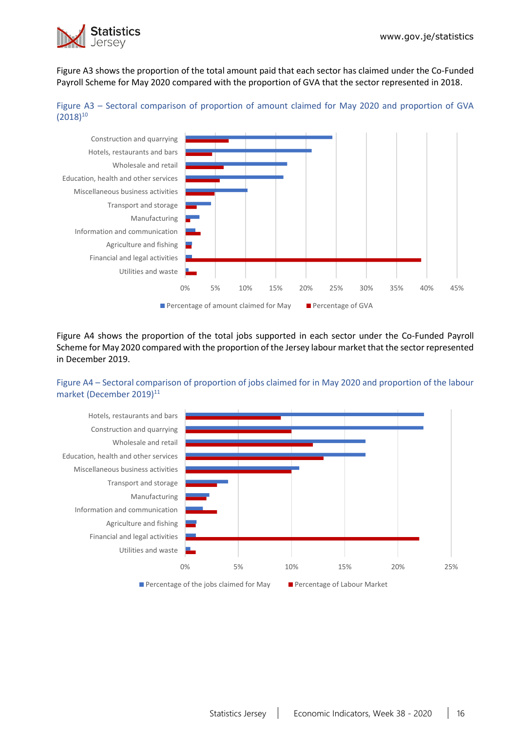

Figure A3 shows the proportion of the total amount paid that each sector has claimed under the Co-Funded Payroll Scheme for May 2020 compared with the proportion of GVA that the sector represented in 2018.





Figure A4 shows the proportion of the total jobs supported in each sector under the Co-Funded Payroll Scheme for May 2020 compared with the proportion of the Jersey labour market that the sector represented in December 2019.

## Figure A4 – Sectoral comparison of proportion of jobs claimed for in May 2020 and proportion of the labour market (December 2019)<sup>11</sup>

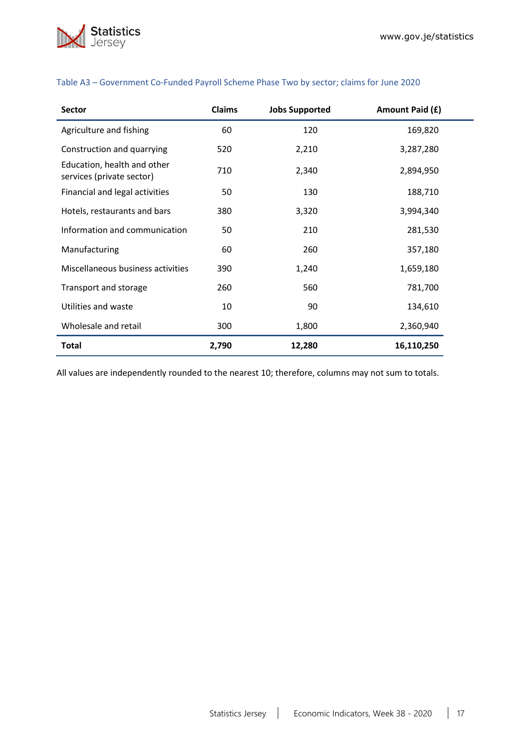

| <b>Sector</b>                                            | <b>Claims</b> | <b>Jobs Supported</b> | Amount Paid (£) |
|----------------------------------------------------------|---------------|-----------------------|-----------------|
| Agriculture and fishing                                  | 60            | 120                   | 169,820         |
| Construction and quarrying                               | 520           | 2,210                 | 3,287,280       |
| Education, health and other<br>services (private sector) | 710           | 2,340                 | 2,894,950       |
| Financial and legal activities                           | 50            | 130                   | 188,710         |
| Hotels, restaurants and bars                             | 380           | 3,320                 | 3,994,340       |
| Information and communication                            | 50            | 210                   | 281,530         |
| Manufacturing                                            | 60            | 260                   | 357,180         |
| Miscellaneous business activities                        | 390           | 1,240                 | 1,659,180       |
| Transport and storage                                    | 260           | 560                   | 781,700         |
| Utilities and waste                                      | 10            | 90                    | 134,610         |
| Wholesale and retail                                     | 300           | 1,800                 | 2,360,940       |
| Total                                                    | 2,790         | 12,280                | 16,110,250      |

## Table A3 – Government Co-Funded Payroll Scheme Phase Two by sector; claims for June 2020

All values are independently rounded to the nearest 10; therefore, columns may not sum to totals.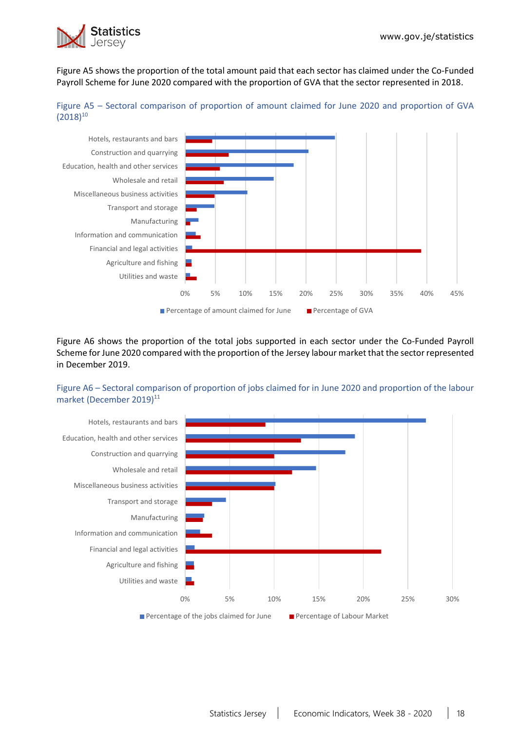

Figure A5 shows the proportion of the total amount paid that each sector has claimed under the Co-Funded Payroll Scheme for June 2020 compared with the proportion of GVA that the sector represented in 2018.





Figure A6 shows the proportion of the total jobs supported in each sector under the Co-Funded Payroll Scheme for June 2020 compared with the proportion of the Jersey labour market that the sector represented in December 2019.

## Figure A6 – Sectoral comparison of proportion of jobs claimed for in June 2020 and proportion of the labour market (December 2019)<sup>11</sup>